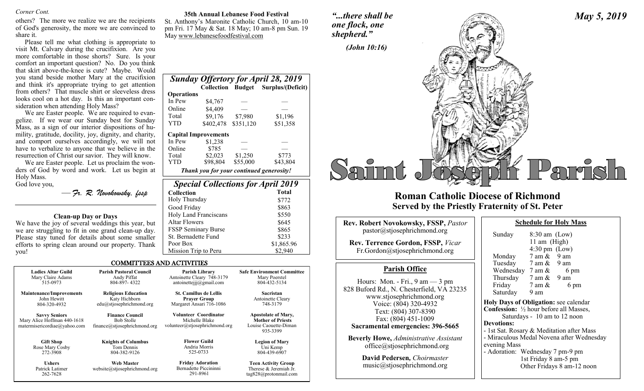others? The more we realize we are the recipients of God's generosity, the more we are convinced to share it.

Please tell me what clothing is appropriate to visit Mt. Calvary during the crucifixion. Are you more comfortable in those shorts? Sure. Is your comfort an important question? No. Do you think that skirt above-the-knee is cute? Maybe. Would you stand beside mother Mary at the crucifixion and think it's appropriate trying to get attention from others? That muscle shirt or sleeveless dress looks cool on a hot day. Is this an important consideration when attending Holy Mass?

We are Easter people. We are required to evangelize. If we wear our Sunday best for Sunday Mass, as a sign of our interior dispositions of humility, gratitude, docility, joy, dignity, and charity, and comport ourselves accordingly, we will not have to verbalize to anyone that we believe in the resurrection of Christ our savior. They will know.

We are Easter people. Let us proclaim the wonders of God by word and work. Let us begin at Holy Mass. God love you,

— *Fr. R. Novokowsky, fssp* 

# **Clean-up Day or Days**

We have the joy of several weddings this year, but we are struggling to fit in one grand clean-up day. Please stay tuned for details about some smaller efforts to spring clean around our property. Thank you!

262-7628

*Corner Cont.* **35th Annual Lebanese Food Festival**

St. Anthony's Maronite Catholic Church, 10 am-10 pm Fri. 17 May & Sat. 18 May; 10 am-8 pm Sun. 19 May www.lebanesefoodfestival.com

*Sunday Offertory for April 28, 2019* 

Total \$9,176 \$7,980 \$1,196<br>
YTD \$402.478 \$351.120 \$51.358

Total \$2,023 \$1,250 \$773 YTD \$98,804 \$55,000 \$43,804 *Thank you for your continued generosity!*

*Special Collections for April 2019*  **Collection Total** Holy Thursday \$772 Good Friday \$863 Holy Land Franciscans \$550 Altar Flowers \$645 FSSP Seminary Burse \$865 St. Bernadette Fund \$233 Poor Box \$1,865.96 Mission Trip to Peru \$2,940

 **Operations**

In Pew \$4,767 Online \$4,409

 **Capital Improvements**  In Pew \$1,238 Online \$785

 **Collection Budget Surplus/(Deficit)**

\$402,478 \$351,120 \$51,358

*shepherd."*

*"...there shall be* 



*May 5, 2019*

# **Roman Catholic Diocese of Richmond Served by the Priestly Fraternity of St. Peter**

| <b>Rev. Robert Novokowsky, FSSP, Pastor</b>                                                                                                                                                                                                                                                                                                                                          | <b>Schedule for Holy Mass</b>                                                                                                                                                                                                                                                                                                                                                                                                               |  |
|--------------------------------------------------------------------------------------------------------------------------------------------------------------------------------------------------------------------------------------------------------------------------------------------------------------------------------------------------------------------------------------|---------------------------------------------------------------------------------------------------------------------------------------------------------------------------------------------------------------------------------------------------------------------------------------------------------------------------------------------------------------------------------------------------------------------------------------------|--|
| pastor @stjosephrichmond.org                                                                                                                                                                                                                                                                                                                                                         | $8:30$ am (Low)<br>Sunday                                                                                                                                                                                                                                                                                                                                                                                                                   |  |
| Rev. Terrence Gordon, FSSP, Vicar<br>Fr.Gordon@stjosephrichmond.org                                                                                                                                                                                                                                                                                                                  | 11 am (High)<br>$4:30 \text{ pm}$ (Low)<br>$7 \text{ am } \& 9 \text{ am}$<br>Monday                                                                                                                                                                                                                                                                                                                                                        |  |
| <b>Parish Office</b>                                                                                                                                                                                                                                                                                                                                                                 | Tuesday 7 am & 9 am<br>Wednesday $7 \text{ am } \& 6 \text{ pm}$                                                                                                                                                                                                                                                                                                                                                                            |  |
| Hours: Mon. - Fri., $9 \text{ am} - 3 \text{ pm}$<br>828 Buford Rd., N. Chesterfield, VA 23235<br>www.stjosephrichmond.org<br>Voice: (804) 320-4932<br>Text: (804) 307-8390<br>Fax: (804) 451-1009<br>Sacramental emergencies: 396-5665<br><b>Beverly Howe, Administrative Assistant</b><br>office@stjosephrichmond.org<br>David Pedersen, Choirmaster<br>music@stjosephrichmond.org | Thursday 7 am & 9 am<br>Friday $7 \text{ am } \&$<br>6 pm<br>Saturday<br>9 am<br>Holy Days of Obligation: see calendar<br><b>Confession:</b> $\frac{1}{2}$ hour before all Masses,<br>Saturdays - 10 am to 12 noon<br><b>Devotions:</b><br>- 1st Sat. Rosary & Meditation after Mass<br>- Miraculous Medal Novena after Wednesday<br>evening Mass<br>- Adoration: Wednesday 7 pm-9 pm<br>1st Friday 8 am-5 pm<br>Other Fridays 8 am-12 noon |  |

COMMITTEES AND ACTIVITIES

| <b>Ladies Altar Guild</b>                                                           | <b>Parish Pastoral Council</b>                                              | Parish Library                                                                   | <b>Safe Environment Committee</b>                                                           |
|-------------------------------------------------------------------------------------|-----------------------------------------------------------------------------|----------------------------------------------------------------------------------|---------------------------------------------------------------------------------------------|
| Mary Claire Adams                                                                   | Andy Piffat                                                                 | Antoinette Cleary 748-3179                                                       | Mary Poerstel                                                                               |
| 515-0973                                                                            | 804-897-4322                                                                | antoinetteijj@gmail.com                                                          | 804-432-5134                                                                                |
| <b>Maintenance/Improvements</b>                                                     | <b>Religious Education</b>                                                  | <b>St. Camillus de Lellis</b>                                                    | Sacristan                                                                                   |
| John Hewitt                                                                         | Katy Hichborn                                                               | <b>Praver Group</b>                                                              | Antoinette Cleary                                                                           |
| 804-320-4932                                                                        | edu@stjosephrichmond.org                                                    | Margaret Ansari 716-1086                                                         | 748-3179                                                                                    |
| <b>Savvy Seniors</b><br>Mary Alice Hoffman 440-1618<br>matermisericordiae@yahoo.com | <b>Finance Council</b><br><b>Bob Stolle</b><br>finance@stjosephrichmond.org | <b>Volunteer Coordinator</b><br>Michelle Blake<br>volunteer@stjosephrichmond.org | <b>Apostolate of Mary,</b><br><b>Mother of Priests</b><br>Louise Caouette-Diman<br>935-3399 |
| <b>Gift Shop</b>                                                                    | <b>Knights of Columbus</b>                                                  | <b>Flower Guild</b>                                                              | <b>Legion of Mary</b>                                                                       |
| Rose Mary Cosby                                                                     | Tom Dennis                                                                  | Andria Morris                                                                    | Uni Kemp                                                                                    |
| 272-3908                                                                            | 804-382-9126                                                                | 525-0733                                                                         | 804-439-6907                                                                                |
| <b>Ushers</b>                                                                       | <b>Web Master</b>                                                           | <b>Friday Adoration</b>                                                          | <b>Teen Activity Group</b>                                                                  |
| Patrick Latimer                                                                     | website@stiosephrichmond.org                                                | Bernadette Piccininni                                                            | Therese & Jeremiah Jr.                                                                      |

291-8961

tag828@protonmail.com